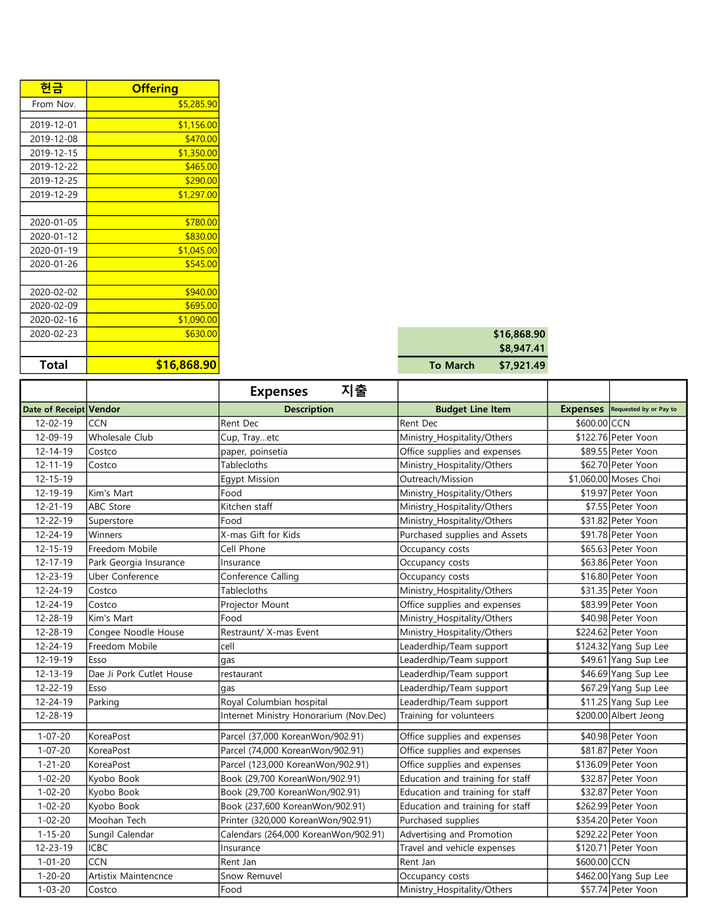| 헌금           | <b>Offering</b> |                 |             |
|--------------|-----------------|-----------------|-------------|
| From Nov.    | \$5,285.90      |                 |             |
| 2019-12-01   |                 |                 |             |
|              | \$1,156.00      |                 |             |
| 2019-12-08   | \$470.00        |                 |             |
| 2019-12-15   | \$1,350.00      |                 |             |
| 2019-12-22   | \$465.00        |                 |             |
| 2019-12-25   | \$290.00        |                 |             |
| 2019-12-29   | \$1,297.00      |                 |             |
|              |                 |                 |             |
| 2020-01-05   | \$780.00        |                 |             |
| 2020-01-12   | \$830.00        |                 |             |
| 2020-01-19   | \$1,045.00      |                 |             |
| 2020-01-26   | \$545.00        |                 |             |
|              |                 |                 |             |
| 2020-02-02   | \$940.00        |                 |             |
| 2020-02-09   | \$695.00        |                 |             |
| 2020-02-16   | \$1,090.00      |                 |             |
| 2020-02-23   | \$630.00        |                 | \$16,868.90 |
|              |                 |                 | \$8,947.41  |
| <b>Total</b> | \$16,868.90     | <b>To March</b> | \$7,921.49  |

|          | \$16,868.90 |
|----------|-------------|
|          | \$8,947.41  |
| To March | \$7,921.49  |

|                        |                          | 지출<br><b>Expenses</b>                  |                                  |                                        |  |
|------------------------|--------------------------|----------------------------------------|----------------------------------|----------------------------------------|--|
| Date of Receipt Vendor |                          | <b>Description</b>                     | <b>Budget Line Item</b>          | <b>Expenses</b> Requested by or Pay to |  |
| $12 - 02 - 19$         | <b>CCN</b>               | Rent Dec                               | Rent Dec                         | \$600.00 CCN                           |  |
| 12-09-19               | <b>Wholesale Club</b>    | Cup, Trayetc                           | Ministry_Hospitality/Others      | \$122.76 Peter Yoon                    |  |
| $12 - 14 - 19$         | Costco                   | paper, poinsetia                       | Office supplies and expenses     | \$89.55 Peter Yoon                     |  |
| $12 - 11 - 19$         | Costco                   | Tablecloths                            | Ministry_Hospitality/Others      | \$62.70 Peter Yoon                     |  |
| $12 - 15 - 19$         |                          | <b>Egypt Mission</b>                   | Outreach/Mission                 | \$1,060.00 Moses Choi                  |  |
| 12-19-19               | Kim's Mart               | Food                                   | Ministry_Hospitality/Others      | \$19.97 Peter Yoon                     |  |
| $12 - 21 - 19$         | ABC Store                | Kitchen staff                          | Ministry_Hospitality/Others      | \$7.55 Peter Yoon                      |  |
| $12 - 22 - 19$         | Superstore               | Food                                   | Ministry_Hospitality/Others      | \$31.82 Peter Yoon                     |  |
| 12-24-19               | Winners                  | X-mas Gift for Kids                    | Purchased supplies and Assets    | \$91.78 Peter Yoon                     |  |
| $12 - 15 - 19$         | Freedom Mobile           | Cell Phone                             | Occupancy costs                  | \$65.63 Peter Yoon                     |  |
| $12 - 17 - 19$         | Park Georgia Insurance   | Insurance                              | Occupancy costs                  | \$63.86 Peter Yoon                     |  |
| 12-23-19               | <b>Uber Conference</b>   | Conference Calling                     | Occupancy costs                  | \$16.80 Peter Yoon                     |  |
| $12 - 24 - 19$         | Costco                   | <b>Tablecloths</b>                     | Ministry_Hospitality/Others      | \$31.35 Peter Yoon                     |  |
| 12-24-19               | Costco                   | Projector Mount                        | Office supplies and expenses     | \$83.99 Peter Yoon                     |  |
| 12-28-19               | Kim's Mart               | Food                                   | Ministry_Hospitality/Others      | \$40.98 Peter Yoon                     |  |
| 12-28-19               | Congee Noodle House      | Restraunt/ X-mas Event                 | Ministry_Hospitality/Others      | \$224.62 Peter Yoon                    |  |
| $12 - 24 - 19$         | Freedom Mobile           | cell                                   | Leaderdhip/Team support          | \$124.32 Yang Sup Lee                  |  |
| 12-19-19               | Esso                     | gas                                    | Leaderdhip/Team support          | \$49.61 Yang Sup Lee                   |  |
| $12 - 13 - 19$         | Dae Ji Pork Cutlet House | restaurant                             | Leaderdhip/Team support          | \$46.69 Yang Sup Lee                   |  |
| $12 - 22 - 19$         | Esso                     | qas                                    | Leaderdhip/Team support          | \$67.29 Yang Sup Lee                   |  |
| 12-24-19               | Parking                  | Royal Columbian hospital               | Leaderdhip/Team support          | \$11.25 Yang Sup Lee                   |  |
| 12-28-19               |                          | Internet Ministry Honorarium (Nov.Dec) | Training for volunteers          | \$200.00 Albert Jeong                  |  |
| $1 - 07 - 20$          | KoreaPost                | Parcel (37,000 KoreanWon/902.91)       | Office supplies and expenses     | \$40.98 Peter Yoon                     |  |
| $1 - 07 - 20$          | KoreaPost                | Parcel (74,000 KoreanWon/902.91)       | Office supplies and expenses     | \$81.87 Peter Yoon                     |  |
| $1 - 21 - 20$          | KoreaPost                | Parcel (123,000 KoreanWon/902.91)      | Office supplies and expenses     | \$136.09 Peter Yoon                    |  |
| $1 - 02 - 20$          | Kyobo Book               | Book (29,700 KoreanWon/902.91)         | Education and training for staff | \$32.87 Peter Yoon                     |  |
| $1 - 02 - 20$          | Kyobo Book               | Book (29,700 KoreanWon/902.91)         | Education and training for staff | \$32.87 Peter Yoon                     |  |
| $1 - 02 - 20$          | Kyobo Book               | Book (237,600 KoreanWon/902.91)        | Education and training for staff | \$262.99 Peter Yoon                    |  |
| $1 - 02 - 20$          | Moohan Tech              | Printer (320,000 KoreanWon/902.91)     | Purchased supplies               | \$354.20 Peter Yoon                    |  |
| $1 - 15 - 20$          | Sungil Calendar          | Calendars (264,000 KoreanWon/902.91)   | Advertising and Promotion        | \$292.22 Peter Yoon                    |  |
| $12 - 23 - 19$         | <b>ICBC</b>              | Insurance                              | Travel and vehicle expenses      | \$120.71 Peter Yoon                    |  |
| $1 - 01 - 20$          | CCN                      | Rent Jan                               | Rent Jan                         | \$600.00 CCN                           |  |
| $1 - 20 - 20$          | Artistix Maintencnce     | Snow Remuvel                           | Occupancy costs                  | \$462.00 Yang Sup Lee                  |  |
| $1 - 03 - 20$          | Costco                   | Food                                   | Ministry_Hospitality/Others      | \$57.74 Peter Yoon                     |  |